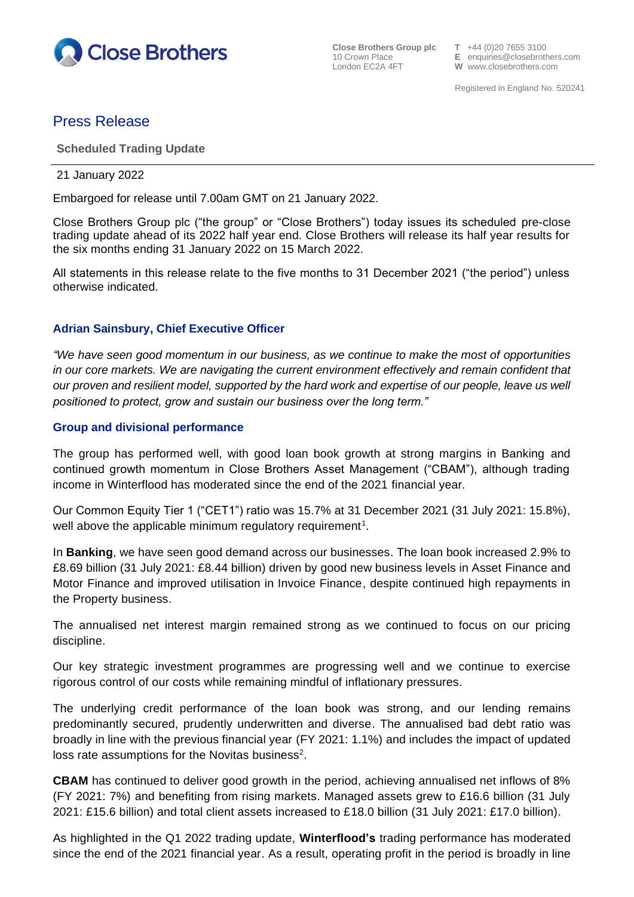

**Close Brothers Group plc**  $T +44$  **(0)20 7655 3100<br>10 Crown Place <b>E** enquiries @closebroth 10 Crown Place **E** enquiries@closebrothers.com

**W** www.closebrothers.com

Registered in England No. 520241

# Press Release

## **Scheduled Trading Update**

#### 21 January 2022

Embargoed for release until 7.00am GMT on 21 January 2022.

Close Brothers Group plc ("the group" or "Close Brothers") today issues its scheduled pre-close trading update ahead of its 2022 half year end. Close Brothers will release its half year results for the six months ending 31 January 2022 on 15 March 2022.

All statements in this release relate to the five months to 31 December 2021 ("the period") unless otherwise indicated.

## **Adrian Sainsbury, Chief Executive Officer**

*"We have seen good momentum in our business, as we continue to make the most of opportunities in our core markets. We are navigating the current environment effectively and remain confident that our proven and resilient model, supported by the hard work and expertise of our people, leave us well positioned to protect, grow and sustain our business over the long term."*

## **Group and divisional performance**

The group has performed well, with good loan book growth at strong margins in Banking and continued growth momentum in Close Brothers Asset Management ("CBAM"), although trading income in Winterflood has moderated since the end of the 2021 financial year.

Our Common Equity Tier 1 ("CET1") ratio was 15.7% at 31 December 2021 (31 July 2021: 15.8%), well above the applicable minimum regulatory requirement<sup>1</sup>.

In **Banking**, we have seen good demand across our businesses. The loan book increased 2.9% to £8.69 billion (31 July 2021: £8.44 billion) driven by good new business levels in Asset Finance and Motor Finance and improved utilisation in Invoice Finance, despite continued high repayments in the Property business.

The annualised net interest margin remained strong as we continued to focus on our pricing discipline.

Our key strategic investment programmes are progressing well and we continue to exercise rigorous control of our costs while remaining mindful of inflationary pressures.

The underlying credit performance of the loan book was strong, and our lending remains predominantly secured, prudently underwritten and diverse. The annualised bad debt ratio was broadly in line with the previous financial year (FY 2021: 1.1%) and includes the impact of updated loss rate assumptions for the Novitas business<sup>2</sup>.

**CBAM** has continued to deliver good growth in the period, achieving annualised net inflows of 8% (FY 2021: 7%) and benefiting from rising markets. Managed assets grew to £16.6 billion (31 July 2021: £15.6 billion) and total client assets increased to £18.0 billion (31 July 2021: £17.0 billion).

As highlighted in the Q1 2022 trading update, **Winterflood's** trading performance has moderated since the end of the 2021 financial year. As a result, operating profit in the period is broadly in line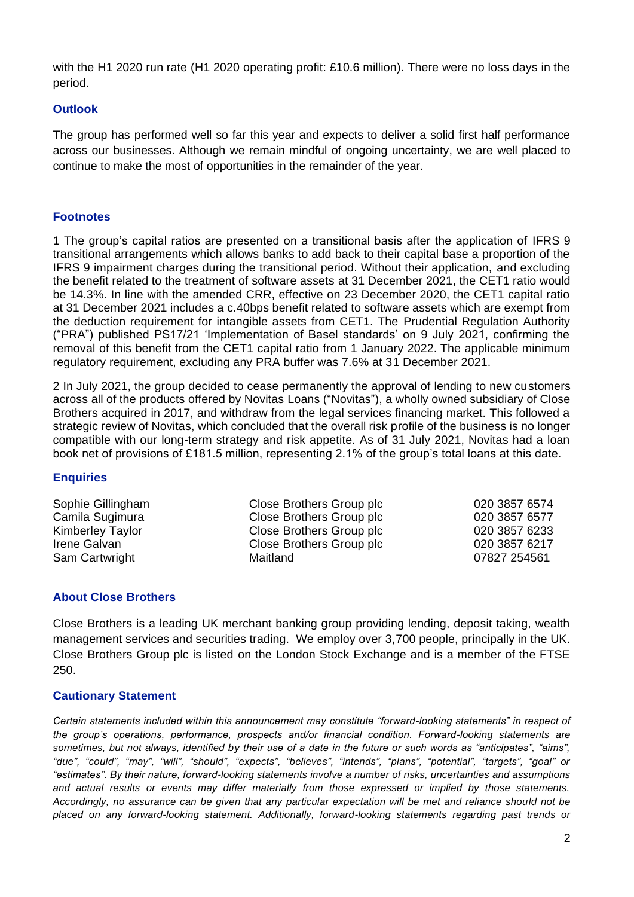with the H1 2020 run rate (H1 2020 operating profit: £10.6 million). There were no loss days in the period.

## **Outlook**

The group has performed well so far this year and expects to deliver a solid first half performance across our businesses. Although we remain mindful of ongoing uncertainty, we are well placed to continue to make the most of opportunities in the remainder of the year.

## **Footnotes**

1 The group's capital ratios are presented on a transitional basis after the application of IFRS 9 transitional arrangements which allows banks to add back to their capital base a proportion of the IFRS 9 impairment charges during the transitional period. Without their application, and excluding the benefit related to the treatment of software assets at 31 December 2021, the CET1 ratio would be 14.3%. In line with the amended CRR, effective on 23 December 2020, the CET1 capital ratio at 31 December 2021 includes a c.40bps benefit related to software assets which are exempt from the deduction requirement for intangible assets from CET1. The Prudential Regulation Authority ("PRA") published PS17/21 'Implementation of Basel standards' on 9 July 2021, confirming the removal of this benefit from the CET1 capital ratio from 1 January 2022. The applicable minimum regulatory requirement, excluding any PRA buffer was 7.6% at 31 December 2021.

2 In July 2021, the group decided to cease permanently the approval of lending to new customers across all of the products offered by Novitas Loans ("Novitas"), a wholly owned subsidiary of Close Brothers acquired in 2017, and withdraw from the legal services financing market. This followed a strategic review of Novitas, which concluded that the overall risk profile of the business is no longer compatible with our long-term strategy and risk appetite. As of 31 July 2021, Novitas had a loan book net of provisions of £181.5 million, representing 2.1% of the group's total loans at this date.

## **Enquiries**

Sophie Gillingham Close Brothers Group plc 020 3857 6574 Camila Sugimura Close Brothers Group plc 020 3857 6577 Kimberley Taylor **Close Brothers Group plc** 020 3857 6233 Irene Galvan Close Brothers Group plc 020 3857 6217 Sam Cartwright **Maitland** 67827 254561

## **About Close Brothers**

Close Brothers is a leading UK merchant banking group providing lending, deposit taking, wealth management services and securities trading. We employ over 3,700 people, principally in the UK. Close Brothers Group plc is listed on the London Stock Exchange and is a member of the FTSE 250.

## **Cautionary Statement**

*Certain statements included within this announcement may constitute "forward-looking statements" in respect of the group's operations, performance, prospects and/or financial condition. Forward-looking statements are sometimes, but not always, identified by their use of a date in the future or such words as "anticipates", "aims", "due", "could", "may", "will", "should", "expects", "believes", "intends", "plans", "potential", "targets", "goal" or "estimates". By their nature, forward-looking statements involve a number of risks, uncertainties and assumptions and actual results or events may differ materially from those expressed or implied by those statements. Accordingly, no assurance can be given that any particular expectation will be met and reliance should not be placed on any forward-looking statement. Additionally, forward-looking statements regarding past trends or*